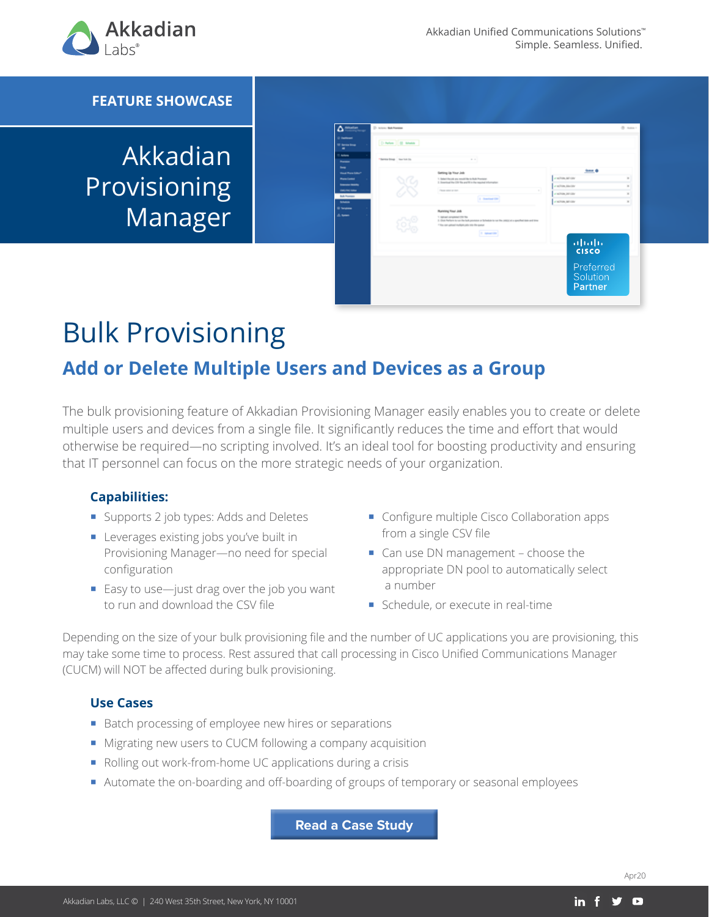

### **FEATURE SHOWCASE**

# Akkadian **Provisioning** Manager

| Δ<br>Atkatian<br>O hardward<br><b>UI Sena Drag</b><br>٠                                                               | <b>C. Arizon: Balk Foreigns</b><br>D-Now   B Metal |                                                                                                                                                                                                                               |                                                                                     | O now : |
|-----------------------------------------------------------------------------------------------------------------------|----------------------------------------------------|-------------------------------------------------------------------------------------------------------------------------------------------------------------------------------------------------------------------------------|-------------------------------------------------------------------------------------|---------|
| <b>CARDS</b><br>--<br><b>Paul Plaza Silker</b>                                                                        | "Berning Streep - New York City                    | $\frac{1}{2} \left( \begin{array}{cc} 1 & 0 \\ 0 & 1 \end{array} \right)$<br>---<br>Getting Up Your Job                                                                                                                       | $b = 0$                                                                             |         |
| <b>Promotioned</b><br><b><i><u>Service</u> States</i></b><br><b>DECIMENT</b><br><b>Bulk Francisco</b><br><b>START</b> |                                                    | 1. Subscriberials any would like to Rule Provision<br>3. Inserting the CIV To profit in the reginal information<br>×<br>Person program to the<br><b>If Second City</b>                                                        | y action, service<br>y allian linking<br>of Achien, Jen-cay<br>of Achieve, Minister |         |
| --<br>di temp                                                                                                         |                                                    | Running Four Job<br>1. Indicate completed CDI The<br>1 (but below is us for belowning a fathelity to us for any) it is precise the set of a<br>I like not given indicate only the data point<br><b><i>Charles Company</i></b> |                                                                                     |         |
|                                                                                                                       |                                                    |                                                                                                                                                                                                                               | ahaha<br><b>CISCO</b>                                                               |         |
|                                                                                                                       |                                                    |                                                                                                                                                                                                                               | Preferred<br>Solution<br>Partner                                                    |         |

# Bulk Provisioning

# **Add or Delete Multiple Users and Devices as a Group**

The bulk provisioning feature of Akkadian Provisioning Manager easily enables you to create or delete multiple users and devices from a single file. It significantly reduces the time and effort that would otherwise be required—no scripting involved. It's an ideal tool for boosting productivity and ensuring that IT personnel can focus on the more strategic needs of your organization.

#### **Capabilities:**

- Supports 2 job types: Adds and Deletes
- **Leverages existing jobs you've built in** Provisioning Manager—no need for special configuration
- $\blacksquare$  Easy to use—just drag over the job you want to run and download the CSV file
- Configure multiple Cisco Collaboration apps from a single CSV file
- Can use DN management choose the appropriate DN pool to automatically select a number
- Schedule, or execute in real-time

Depending on the size of your bulk provisioning file and the number of UC applications you are provisioning, this may take some time to process. Rest assured that call processing in Cisco Unified Communications Manager (CUCM) will NOT be affected during bulk provisioning.

#### **Use Cases**

- Batch processing of employee new hires or separations
- **Migrating new users to CUCM following a company acquisition**
- Rolling out work-from-home UC applications during a crisis
- Automate the on-boarding and off-boarding of groups of temporary or seasonal employees

**Read a Case Study**